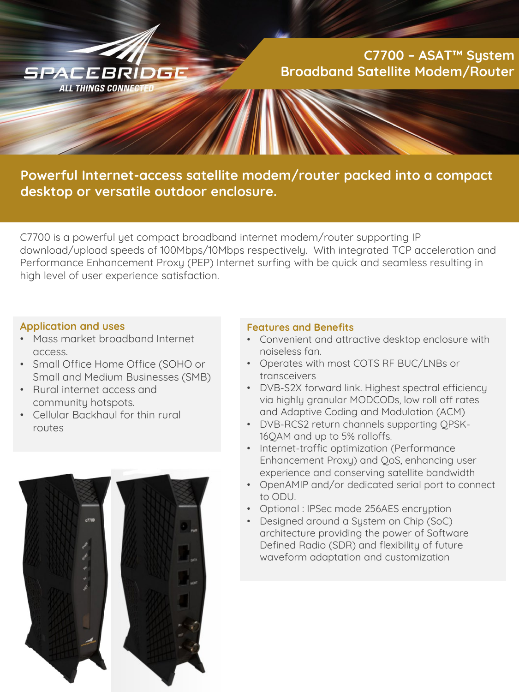

# **C7700 – ASAT™ System Broadband Satellite Modem/Router**

# **Powerful Internet-access satellite modem/router packed into a compact desktop or versatile outdoor enclosure.**

C7700 is a powerful yet compact broadband internet modem/router supporting IP download/upload speeds of 100Mbps/10Mbps respectively. With integrated TCP acceleration and Performance Enhancement Proxy (PEP) Internet surfing with be quick and seamless resulting in high level of user experience satisfaction.

#### **Application and uses**

- Mass market broadband Internet access.
- Small Office Home Office (SOHO or Small and Medium Businesses (SMB)
- Rural internet access and community hotspots.
- Cellular Backhaul for thin rural routes



#### **Features and Benefits**

- Convenient and attractive desktop enclosure with noiseless fan.
- Operates with most COTS RF BUC/LNBs or transceivers
- DVB-S2X forward link. Highest spectral efficiency via highly granular MODCODs, low roll off rates and Adaptive Coding and Modulation (ACM)
- DVB-RCS2 return channels supporting QPSK-16QAM and up to 5% rolloffs.
- Internet-traffic optimization (Performance Enhancement Proxy) and QoS, enhancing user experience and conserving satellite bandwidth
- OpenAMIP and/or dedicated serial port to connect to ODU.
- Optional : IPSec mode 256AES encryption
- Designed around a System on Chip (SoC) architecture providing the power of Software Defined Radio (SDR) and flexibility of future waveform adaptation and customization